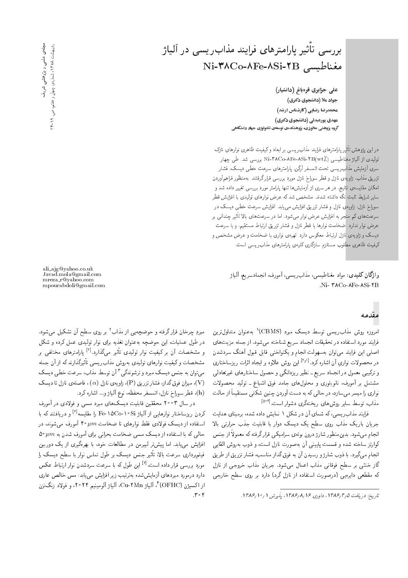# بررسی تأثیر پارامترهای فرایند مذاب ریسی در آلیاژ Ni- مغناطيسي Ni- مغناطيسي

علی جزایری قرهباغ (دانشیار) جواد ملا (دانشجوی دکتری) محمدرضا رضایی (کارشناس ارشد) ههدی پورعبدا<sub>ی</sub> (دانشجوی دکتری) گروه پژوهشی متالورژی، پژوهشکدهی توسعهی تکنولوژی جهاد دانشگاهی

دراین پژوهش تأثیر پارامترهای فرایند مذاب ریسی بر ابعاد و کیفیت ظاهری نوارهای نازک<br>سفید استفاد استفاده که کامل میستورد و کلیستور و میستور تولیدی از آلیاژ مغناطیسی Ni-۳۸Co-AFe-ASi-۲B $(\mathrm{wt}\zeta)$  بررسی شد. طی چهار سری أزمایش مذاب ریسی تحت اتمسفر آرگن، پارامترهای سرعت خطی دیسک، فشار تزریق مذاب، زاویه<sup>ا</sup>ی نازل و قطر سوراخ نازل مورد بررسی قرارگرفتند. بهمنظور فراهمآوردن امکان مقایسهی نتایج، در هر سری از آزمایش ها تنها پارامتر مورد بررسی تغییر داده شد و سایر شرایط ثابت نگه داشته شدند. مشخص شد که عرض نوارهای تولیدی با افزایش قطر سوراخ نازل، زاویه ی نازل و فشار تزریق افزایش می یابد. افزایش سرعت خطی دیسک در سرعتهای کم منجر به افزایش عرض نوار میشود. اما در سرعتهای بالا تأثیر چندانی بر<br>میروارد استان عرض نوار ندارد. ضخامت نوارها با قطر نازل و فشار تزریق ارتباط مستقیم، و با سرعت دیسک و زاویهی نازل ارتباط معکوس دارد. تهیهی نواری با ضخامت و عرض مشخص و كيفيت ظاهري مطلوب مستلزم سازگاري كليهي پارلمترهاي مذاب ريسي است.

> وا**ژگان کلیدی**: مواد مغناطیسی، مذاب ریسی، آمورف، انجمادسریع، آلیاژ Ni- 7ACo-AFe-ASi-YB

#### ali ajg@yahoo.co.uk Javad.mola@gmail.com mreza r@yahoo.com mpourabdoli@gmail.com

## مقدمه

امروزه روش مذاب ریسی توسط دیسک مبرد (CBMS)<sup>۱</sup> به عنوان متداول ترین<br>تارین میلمان باید و توسط دیسک فرایند مورد استفاده در تحقیقات انجماد سریع شناخته می شود. از جمله مزیت های اصلی این فرایند میتوان بهسهولت انجام و یکنواختی قابل قبول آهنگ سردشدن در محصولات نواریِ آن اشاره کرد.<sup>[۱۶]</sup> این روش علاوه بر ایجاد اثرات ریزساختاری<br>- یم و ترکیبی معمول در انجماد سریع ــ نظیر ریزدانگی و حصول ساختارهای غیرتعادلی مشتمل بر آمورف، نانوبلوری و محلول های جامد فوق اشباع ـ تولید محصولات نواری را میسر میسازد، در حالی که به دست آوردن چنین شکلی مستقیماً از حالت مذاب، توسط سایر روش های ریختهگری دشوار است.<sup>[۵-۳]</sup><br>مساوی است.

فرایند مذاب ریسی، که شمای آن در شکل ۱ نمایش داده شده، برمینای هدایت جریان باریک مذاب روی سطح یک دیسک دوار با قابلیت جذب حرارتی بالا انجام میشود. بدین منظور شارژ درون بوتهی سرامیکی قرار گرفته که معمولاً از جنس كوارتز ساخته شده و قسمت پايينې آن بهصورت نازل است، و ذوب بهروش القايي انجام مه گیرد. با ذوب شارژ و رسیدن آن به فوق گدار مناسب، فشار تزریق از طریق گاز خنشی بر سطح فوقانی مذاب اعمال میشود. جریان مذاب خروجی از نازل كه مقطعى دايرەيى (درصورت استفاده از نازل گرد) دارد بر روى سطح خارجى

مبردِ چرخان قرارگرفته و حوضچهیی از مذاب<sup>۲</sup> بر روی سطح آن تشکیل میشود.<br>مطرف اسلمان استان میتوان بودند و استان استان میتوان در طول عملیات، این حوضچه بهعنوان تغذیه برای نوار تولیدی عمل کرده و شکل و مشخصات أن بر كيفيت نوار توليدى تأثير مىگذارد.<sup>[۲]</sup> پارامترهاى مختلفى بر<br>مىشتىلىقىكىنىقىنلىقىلىقىلىكى مىشتىلىقىگىلىنىكىلىقى مشخصات وکیفیت نوارهای تولیدی به روش مذاب ریسی تأثیرگذارند که از آن جمله<br>مصاحبه مصدر مصری کلیس و مصنفی آیتم و ساخته این نام مصر می توان به جنس دیسک مبرد و ترشوندگی آ آن توسط مذاب، سرعت خطی دیسک هیزان فوق گدار، فشار تزریق (P)، زاویهی نازل  $(\alpha)$  ، فاصلهی نازل تا دیسک ' $(V)$ h)، قطر سوراخ نازل، اتمسفر محفظه، نوع آلیاژ و... اشاره كرد.

در سال ۲۰۰۳ محققین قابلیت دیسکهای میرد مسبی و فولادی در آمورف کردن ریزساختار نوارهایی از آلمیاژ Fe-۱۵Co-۱۰Si را مقایسه<sup>[۶]</sup> و دریافتند که با<br>استفاد استان کورنده و تقاویل استفاد باشد: استفاده از دیسک فولادی فقط نوارهای تا ضخامت ۴۰ $\mu m$  آمورف میشوند، در  $\delta^\circ\mu m$  حالی که با استفاده از دیسک مسی ضخامت بحرانی برای آمورف شدن به افزایش می یابد. اما پیش تر لیبرمن در مطالعات خود، با بهرهگیری از یک دوربین فیلمبرداری سرعت بالا، تأثیر جنس دیسک بر طول تماس نوار با سطح دیسک را<br>میدان اسلمبرداری الایس او استفاده کرده و میدان اسلمبرداری مورد بررسی قرار داده است.<sup>[۷]</sup> این طول که با سرعت سردشدن نوار ارتباط عکس<br>ا دارد درمورد مبردهای آزمایششده بهترتیب زیر افزایش می،یابد: مس خالص عاری از اکسیژن (OFHC''، آلیاژ Cu-۲Mn''، آلیاژ آلومینیم ۲۴°۲۴، و فولاد زنگنزن<br>ء س "304

تاریخ: دریافت ۱۳۸۶/۵/۱۵ داودی ۱۳۸۶/۸/۱۶ کیلوش (۱۴۸۶/۱۰۷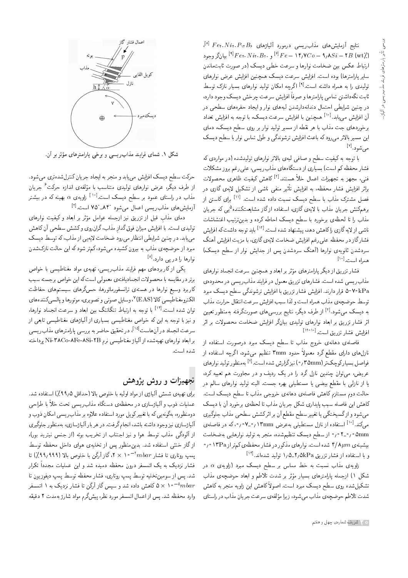$\frac{[k]}{[k]}$   $Fe$ +،  $Ni$  ,  $P_1$ ,  $B$ <sub>5</sub> تتابع آزمایش های مقابل های مقابل های مقابل های مقابل های مقابل های مقابل های مقابل های مقابل های مقابل های مقابل های مقابل های مقابل های مقابل های مقابل های مقابل های مقابل های مقاب اتانگروجود)  ${}^{[\mathsf{s}]}F e_{\mathsf{t}}, N i_{\mathsf{t}}, B_{\mathsf{t}}$ و ۱۴٫۷ $C$ o – ۹٫۸ $Si$  ابیانگروجود) است ارتباط عکس بین ضخامت نوارها و سرعت خطی دیسک (در صورت ثابتءاندن ساير پارلمترها) بوده است. افزايش سرعت ديسك همچنين افزايش عرض نوارهاى \UwD lR=v Q=}U@ |=yQ=wv O}rwD u=mt= xJQo = [9] "CU= xDW=O x=Qty x@ =Q |O}rwD ثابت نگهداشتن تمامى پارامترها و صرفاً افزايش سرعت چرخش ديسک وجود دارد، در چنین شرایطی احتمال دندانهدارشدن لبههای نوار و ایجاد حفرههای سطحی در O=OaD V}=Ri= x@ xHwD =@ 'lU}O CaQU V}=Ri= =@u}vJty [10] "O@=}|t V}=Ri= u; برخوردهای جت مذاب با هر نقطه از مسیر تولید نوار بر روی سطح دیسک، دمای این مسیر بالاتر میرودکه باعث افزایش ترشوندگی و طول تماس نوار با سطح دیسک مىشود.<sup>[۷]</sup><br>ا

با توجه به كيفيت سطح و صافى لبهى بالاتر نوارهاى توليدشده (در مواردى كه فشار محفظه کم است) بسیاری از دستگاههای مذاب ریسی، علی رغم بروز مشکلات فنی، مجهز به تجهیزات اعمال خلاً هستند.<sup>[۲]</sup> کاهش کیفیت ظاهری محصولات<br>اله ازار میندارد که این ازار می<sup>ان</sup>د براثر افزایش فشار محفظه، به افزایش تأثیر منفی ناشی از تشکیل لایه ی گازی در<br>مساحلیت کرمیس ایلمبار با فصل مشترک مذاب با سطح دیسک نسبت داده شده است. <sup>[۱۱]</sup> برای کاستن از<br>عدد مسلح ایستان ما افقا می استان با گار های تکنید ۹ برهمکنش جریان مذاب با لایهی گازی، استفاده ازگاز مشایعتکننده<sup>0</sup>یبی که جریان<br>بنایس ایتلمان با مذاب را تا لحظهى برخورد با سطح ديسك احاطه كرده و بدين ترتيب اغتشاشات ناشبی از لایه گازی را کاهش دهد، پیشنهاد شده است.<sup>[۱۲]</sup> باید توجه داشت که افزایش<br>تنبلیگا فشارگاز در محفظه على رغم افزايش ضخامت لايهى گازى، با مزيت افزايش آهنگ سردشدن ثانویهی نوارها (آهنگ سردشدن پس از جدایش نوار از سطح دیسک) همراه است.<sup>[۱۰]</sup><br>محمد

فشار تزریق از دیگر پارامترهای مؤثر بر ابعاد و همچنین سرعت انجماد نوارهای<br>موسیقی استفاده استفاده است مذاب ریسی شده است. فشارهای تزریق معمول در فرایند مذاب ریسی در محدودهی OQ@t lU}O K]U |oOvwWQD V}=Ri= =@j}QRD Q=Wi V}=Ri= "OvQ=O Q=Qk 570kPa توسط حوضچهى مذاب همراه است و لذا سبب افزايش سرعت انتقال حرارت مذاب به دیسک میشود.<sup>اتل</sup> از طرف دیگر، نتایج بررسی۵لی صورتگرفته بهمنظور تعیین<br>اشتغار توسعی اسلمنداراستان ایران میشود؟ اثر فشار تزریق بر ابعاد نوارهای تولیدی بیانگر افزایش ضخامت محصولات بر اثر افزایش فشار تزریق است.<sup>[۱۲-۱۰</sup>]<br>نامیا

فاصلهى دهانهى خروج مذاب تا سطح ديسك مبرد درصورت استفاده از نازل های دارای مقطع گرد معمولاً حدود ۳mm تنظیم میشود، اگرچه استفاده از فواصل بسیارکوچک تر (۳۵mm , °) نیزگزارش شده است.<sup>[۲]</sup> بهمنظور تولید نوارهای<br>مقدمات مقامت بودن است است ک عریض، می توان چندین نازل گرد را در یک ردیف و در مجاورت هم تعبیه کرد<mark>.</mark> یا از نازل<sub>ی</sub> با مقطع بیضی یا مستطیلی بهره جست البته تولید نوارهای سالم در حالت دوم مستلزم كاهش فاصلهى دهانهى خروجى مذاب تا سطح ديسك است. كاهش اين فاصله سبب پايداري شكل جريان مذاب تا لحظهي برخورد آن با ديسك میشود و از گسیختگی یا تغییر سطح مقطع آن بر اثرکشش سطحی مذاب جلوگیری میکند.<sup>[۱۰]</sup> استفاده از نازل مستطیلی به عرض ۱۳mm <sub>(۴</sub>۰۷ ق ه به که در فاصلهی<br>همچند کار مطلب استفاده از مستطیلی میشود. Op " (° - ۲ ° / ° از سطح دیسک تنظیم شده، منجر به تولید نوارهایی به ضخامت m بیشینه ی ۴/۸ $\mu$  شده است. نوارهای مذکور در فشار محفظهی کمتر از ۱۳ ${\rm Pa}$ ۱۰ و با استفاده از فشار تزریق ۲٫۵L۲٫۵kPa تولید شدهاند.<sup>[۱۲]</sup><br>مسابقه

زاویهی مذاب نسبت به خط مماس بر سطح دیسک مبرد (زاویهی  $\alpha$  در شکل ۱) ازجمله پارامترهای بسیار مؤثر بر شدت تلاطم و ابعاد حوضچهی مذاب<br>مهمکاره بسیسی ا تشکیل شده روی سطح دیسک مبرد است. اصولاً کاهش این زاویه منجر به کاهش<br>مسیح باها شدت تلاطم حوضچهى مذاب مىشود، زيرا مؤلفهى سرعت جريان مذاب در راستاى



شکل ۱. شمای فرایند مذاب ریسی و برخی پارامترهای مؤثر بر آن.<br>.

حرکت سطح دیسک افزایش می یابد و منجر به ایجاد جریان کنترل شدهتری می شود. از طرف دیگر، عرض نوارهای تولیدی متناسب با مؤلفهی اندازه حرکت<sup>۶</sup> جریان<br>نامه ایران مذاب در راستای عمود بر سطح دیسک است.<sup>ا۱۶</sup> راویهی <sub>Q</sub> بهینه که در بیشتر<br>آ با همساست: با مساح استان میشود و کار ۱۷۵۴ تا اتا آزمایش های مذاب ریسی اعمال میشود "۸۴-"۷۵ است.<sup>[۲]</sup><br>مساحات این مقابل میدانید

دمای مذابِ قبل از تزریق نیز ازجمله عوامل مؤثر بر ابعاد و کیفیت نوارهای<br>- استفادات استفاده استفاده استفاده استفاده می برد و با بستم کار تولیدی است. با افزایش میزان فوق گذارِ مذاب، گران روی و کشش سطحی آن کاهش<br>این مورد است و این استان استان می یابد. در چنین شرایطی انتظار میرود ضخامت لایهیی از مذاب، که توسط دیسک مبرد از حوضچهى مذاب به بيرون كشيده مىشود، كمتر شود كه اين حالت نازكشدن نوارها را در پی دارد.<sup>[۸]</sup><br>ک

يكي ازكاربردهاى مهم فرايند مذاب ريسي، تهيهى مواد مغناطيسي با خواص برتر در مقايسه با محصولات انجماديافتهى معمولى است كه اين خواص برجسته سبب کاربرد وسیع نوارها در هستهی ترانسفورماتورها، حسگرهای سیستمهای حفاظت الکترومغناطیسی کالا (EAS)"، وسایل صوتی و تصویری، موتورها و پالسیکنندههای<br>تولید همد با حصا الکلمی و با این اصلیل منگلینگ توان شده است.<sup>[۱۶]</sup> با توجه به ارتباط تنگاتنگ بین ابعاد و سرعت انجماد نوارها،<br>تمسط علماء می کود که است ایران است است. و نیز با توجه به این که خواص مغناطیسی بسیاری از ألیاژهای مغناطیسی تابعی از سرعت انجماد در آنهاست<sup>[۱۵]</sup>، در تحقیق حاضر به بررسی پارامترهای مذاب ِ یسی برابعاد نوارهای تهیهشده از آلیاژ مغناطیسی نرم Ni-۳۸Co-AFe-ASi-۲B پرداخته شده است.

#### تجهیزات و روش یژوهش

برای تهیهی شمش ألیاژی از مواد اولیه با خلوص بالا (حداقل ۹۹٫۵٪) استفاده شد. عملیات ذوب و آلیاژسازی در محفظهی دستگاه مذاب یسمی تحت خلاً با طراحی<br>منا دومنظوره، بهگونه یی که با تغییرکو یل مورد استفاده علاوه بر مذاب ریسی امکان ذوب و الیاژسازی نیز وجو**د د**اشته باشد، انجام گرفت. در هر بار آلیاژسازی، بهمنظور جلوگیری از ألودكمي مذاب توسط هوا و نيز اجتناب از تخريب بوته (از جنس نيتريد بور). از گاز خنثی استفاده شد. بدین منظور پس از تخلیه ی هوای داخل محفظه توسط پمپ روتاری تا فشار mbar <sup>-- ۱</sup>mbar - ۲ با گاز آرگن با خلوص بالا (۹۹٫۹۹۹٪) تا<br>نهایش کرد کرده است. فشار نزدیک به یک اتستفر درون محفظه دمیده شد و این عملیات مجدداً تکرار<br>میسیسیا شد. پس از سومین تخلیه توسط پمپ روتاری، فشار محفظه توسط پمپ دیفوزیون تا QiUtD= 1 x@ l}ORv Q=Wi =DuoQ; R=o TBU w OW xO=O Vy=m 5 - 105mbar وارد محفظه شد. پس از اعمال اتمسفر مورد نظر، پیشگرم مواد شارژ بهمدت ٢ دقیقه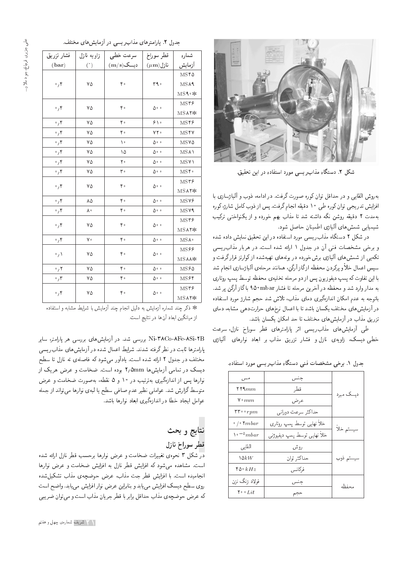

شکل ۲. دستگاه مذاب ریسی مورد استفاده در این تحقیق.

به روش القابي و در حداقل توان كوره صورت گرفت. در ادامه، ذوب و آلياژسازي با افزايش تدريجي توان كوره طي ١٠ دقيقه انجام گرفت. پس از ذوب كامل شارژ، كوره بهمدت ۲ دقیقه روشن نگه داشته شد تا مذاب بهم خورده و از یکنواختبی ترکیب شیمیایی شمش های آلیاژی اطمینان حاصل شود.

در شکل ۲ دستگاه مذاب ریسی مورد استفاده در این تحقیق نمایش داده شده و برخی مشخصات فنی آن در جدول ۱ ارائه شده است. در هربار مذاب ریسی تکه یی از شمش های آلیاژی برش خورده در بوتههای تهیهشده از کوارتز قرار گرفت و سپس اعمال خلأ و يركردن محفظه ازگاز آرگن، همانند مرحلهي ألياژسازي انجام شد با این تفاوت که پمپ دیفوزیون پس از دو مرحله تخلیهی محفظه توسط پمپ روتاری به مدار وارد شد و محفظه در آخرین مرحله تا فشار ۹۵۰mbar باگاز آرگن بر شد. باتوجه به عدم امکان اندازهگیری دمای مذاب، تلاش شد حجم شارژ مورد استفاده در آزمایش های مختلف یکسان باشد تا با اعمال نرخ های حرارتدهی مشابه، دمای تزریق مذاب در آزمایش های مختلف تا حد امکان یکسان باشد.

طی آزمایش های مذاب ریسی اثر پارامترهای قطر سوراخ نازل، سرعت خطی دیسک، زاویهی نازل و فشار تزریق مذاب بر ابعاد نوارهای آلیاژی

جدول ۱. برخی مشخصات فنی دستگاه مذاب ریسی مورد استفاده.

| مس                                    | جنس                          |           |
|---------------------------------------|------------------------------|-----------|
| ۲۲۹ $mm$                              | قطر                          | دیسک مبرد |
| $\mathsf{v}{\scriptstyle \cdot\,}$ mm | عرض                          |           |
| $rr \cdot rpm$                        | حداكثر سرعت دورانبي          |           |
| $\cdot$ / $\cdot$ $\tau$ $\tau$       | خلأ نهايى توسط يمپ روتارى    |           |
| $\lambda \cdot \neg \circ_m_{bar}$    | خلأ نهايبي توسط يمپ ديفيوژنې | سيستم خلا |
| القايى                                | روش                          |           |
| ۱۵ $kW$                               | حداكثر توان                  | سيستم ذوب |
| $\mathcal{A} \circ kHz$               | فركانس                       |           |
| فولاد زنگ نزن                         | جنس                          | محفظه     |
| $\mathbf{v} \cdot \mathbf{v}$         | حجم                          |           |
|                                       |                              |           |

#### جدول ٢. يارامترهاى مذاب ريسى در أزمايش هاى مختلف.

| فشار تزريق                      | زاويه نازل  | سرعت خطى                       | قطر سوراخ               | شماره                   |
|---------------------------------|-------------|--------------------------------|-------------------------|-------------------------|
| (bar)                           | $(\degree)$ | $(\mathbf{m}/\mathbf{s})$ دیسک | $(\mu \mathbf{m})$ نازل | آزمايش                  |
|                                 |             |                                |                         | <b>MSY</b> <sup>0</sup> |
| $\circ$ , ۴                     | ٧۵          | $\mathfrak{r}$ .               | ٣٩٠                     | <b>MSA</b>              |
|                                 |             |                                |                         | MS۹∘∗                   |
| $\circ$ , ۴                     | ۷۵          | ۴۰                             | ه ۵۰                    | MSY                     |
|                                 |             |                                |                         | MSAY*                   |
| $\mathfrak{g} \mathfrak{g}$     | ٧۵          | ۴۰                             | ۶۱۰                     | MSY                     |
| $\cdot$ , ۴                     | ٧۵          | ۴۰                             | VT <sub>0</sub>         | <b>MSYY</b>             |
| $\cdot$ , ۴                     | ٧۵          | ۱.                             | ه ۵۰                    | <b>MSV</b> $\Delta$     |
| $\cdot$ , ۴                     | ٧۵          | ۱۵                             | ه ۵۰                    | <b>MSA</b>              |
| $\cdot$ , ۴                     | ۷۵          | ٢۰                             | ه ۵۰                    | <b>MSV</b>              |
| $\cdot$ , ۴                     | ٧۵          | ۳۰                             | ه ۵۰                    | $MS$ ۴.                 |
| $\mathfrak{g}$ , $\mathfrak{f}$ | ۷۵          | ۴۰                             | ه ۵۰                    | MSY                     |
|                                 |             |                                |                         | MSAY*                   |
| $\cdot$ , ۴                     | ٨۵          | ۴۰                             | ه ۵۰                    | <b>MSV</b>              |
| $\cdot$ , ۴                     | ۸۰          | ۴۰                             | ه ۵۰                    | <b>MSV9</b>             |
|                                 | ٧۵          | ۴۰                             | ه ۵۰                    | MSY                     |
| $\mathfrak{g}$ , $\mathfrak{f}$ |             |                                |                         | <b>MSAY*</b>            |
| $\cdot$ , ۴                     | γ۰          | ۴۰                             | ه ۵۰                    | $MS\Lambda^{\circ}$     |
| $\cdot$ / $\setminus$           | ٧۵          | ۴۰                             | ه ۵۰                    | MS99                    |
|                                 |             |                                |                         | <b>MSAA*</b>            |
| $\cdot$ , $\mathsf{r}$          | ٧۵          | ۴۰                             | ه ۵۰                    | MS <sub>80</sub>        |
| $\cdot$ , $\mathsf{r}$          | ٧۵          | ۴۰                             | ه ۵۰                    | MSSP                    |
| $\mathfrak{g}_{\mathfrak{f}}$   | ۷۵          | ۴۰                             | ه ۵۰                    | MSY                     |
|                                 |             |                                |                         | MSAY*                   |
|                                 |             |                                |                         |                         |

دکر چند شماره آزمایش به دلیل انجام چند آزمایش با شرایط مشابه و استفاده $*$ از میانگین ابعاد آنها در نتایج است.

Ni-TACo-AFe-ASi-YB بررسی شد. در آزمایش های بررسی هر یارامتر، سایر پارامترها ثابت در نظر گرفته شدند. شرایط اعمال شده در آزمایش های مذاب ویسی مختلف در جدول ٢ ارائه شده است. يادآور مى شود كه فاصلهى ته نازل تا سطح دیسک در تمامی آزمایشها ۲٫۵mm بوده است. ضخامت و عرض هریک از نوارها پس از اندازهگیری بهترتیب در ۱۰ و ۵ نقطه، بهصورت ضخامت و عرض متوسط گزارش شد. عواملی نظیر عدم صافی سطح یا لبهی نوارها می تواند از جمله عوامل ايجاد خطا در اندازهگيري ابعاد نوارها باشد.

### نتايج و بحث قطر سوراخ نازل

در شکل ۳ نحوه ی تغییرات ضخامت و عرض نوارها برحسب قطر نازل ارائه شده است. مشاهده می شود که افزایش قطر نازل به افزایش ضخامت و عرض نوارها انجاميده است. با افزايش قطر جت مذاب، عرض حوضچهى مذاب تشكيل شده روی سطح دیسک افزایش می یابد و بنابراین عرض نوار افزایش می یابد. واضح است كه عرض حوضچهى مذاب حداقل برابر با قطر جريان مذاب است و مى توان ضريبي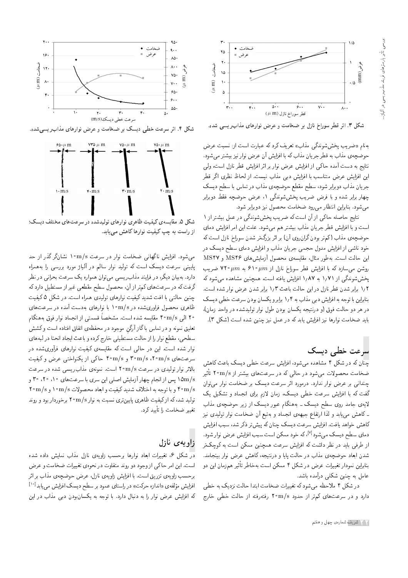

شکل ۳. اثر قطر سوراخ نازل بر ضخامت و عرض نوارهای مذاب ریسی شده.

به نام «ضریب پخششوندگی مذاب» تعریف کرد که عبارت است از: نسبت عرض حوضچهى مذاب به قطر جريان مذاب كه با افزايش آن عرض نوار نيز بيشتر مىشود. نتايج به دست آمده حاكي از افزايش عرض نوار بر اثر افزايش قطر نازل است، ولمي این افزایش عرض متناسب با افزایش دبی مذاب نیست. از لحاظ نظری اگر قطر جریان مذاب دوبرابر شود، سطح مقطع حوضچهی مذاب در تماس با سطح دیسک چهار برابر شده و با فرض ضریب پخششوندگی ۱. عرض حوضچه فقط دوبرابر می شود. بنابراین انتظار می رود ضخامت محصول نیز دوبرابر شود.

نتایج حاصله حاکی از آن است که ضریب پخششوندگی در عمل بیشتر از ۱ است و با افزایش قطر جریان مذاب بیشتر هم میشود. علت این امر افزایش دمای حوضچهی مذاب (کم تر بودن گران روی آن) بر اثر بزرگ تر شدن سوراخ نازل است که خود ناشبی از افزایش مدول حجمی جریان مذاب و افزایش دمای سطح دیسک در این حالت است. بهطور مثال، مقایسهی محصول أزمایش های MS۴۶ و MS۴۷ روشن می سازد که با افزایش قطر سوراخ نازل از ۴۱۰ $\mu m$ ۶۱۰ مریب پخششوندگی از ۱٫۸۷ به ۱٫۸۷ افزایش یافته است. همچنین مشاهده می شود که ١٫٢ برابر شدن قطر نازل در این حالت باعث ١٫٣ برابر شدن عرض نوار شده است. بنابراین با توجه به افزایش دیی مذاب به ۱٫۴ برابر و یکسان بودن سرعت خطی دیسک در هر دو حالت فوق (و درنتيجه يكسان بودن طول نوار توليدشده در واحد زمان)، بايد ضخامت نوارها نيز افزايش يابدكه در عمل نيز چنين شده است (شكل ٣).

#### سرعت خطی دیسک

چنان که در شکل ۴ مشاهده میشود، افزایش سرعت خطی دیسک باعث کاهش ضخامت محصولات میشود در حالی که در سرعتهای بیشتر از ۲۰m/s تأثیر<br>منابع چندانی بر عرض نوار ندارد. درمورد اثر سرعت دیسک بر ضخامت نوار می توان گفت که با افزایش سرعت خطی دیسک، زمان لازم برای انجماد و تشکیل یک لایهی جامد روی سطح دیسک ــ بههنگام عبور دیسک از زیر حوضچهی مذاب ـ كاهش مى يابد و لذا ارتفاع جبههى انجماد و بهتبع أن ضخامت نوار توليدى نيز کاهش خواهد یافت. افزایش سرعت دسیک جنان که پیش تر ذکر شد، سبب افزایش دمای سطح دیسک میشود<sup>[۷]</sup>، که خود ممکن است سبب افزایش عرض نوار شود.<br>استفاد استفاده این مناسبان میکنارند از طرفی باید در نظر داشت که افزایش سرعت همچنین ممکن است به کوچکتر شدن ابعاد حوضچهى مذاب در حالت پايا و درنتيجه، كاهش عرض نوار بينجامد. بنابراین نمودار تغییرات عرض در شکل ۴ ممکن است بهخاطر تأثیر همزمان این دو<br>اما ا عامل به چنین شکلی درآمده باشد.

در شکل ۴ ملاحظه می شود که تغییرات ضخامت ابتدا حالت نزدیک به خطی دارد و در سرعتهای کمتر از حدود T۰m/s ونتهرفته از حالت خطی خارج



شکل ۴. اثر سرعت خطی دیسک بر ضخامت و عرض نوارهای مذاب ریسی شده.



شکل ۵. مقایسهی کیفیت ظاهری نوارهای تولیدشده در سرعتهای مختلف دیسک؛ از راست به چپ کیفیت نوارها کاهش می یابد.

میشود. افزایش ناگهانی ضخامت نوار در سرعت ۱۰ m/s نشانگر گذر از حد ياييني سرعت ديسك است كه توليد نوار سالم در آلياژ مورد بررسي را بههمراه دارد. بهبیان دیگر، در فرایند مذاب ِ یسمی میتوان همواره یک سرعت بحرانی در نظر گرفت که در سرعت های کم تر از آن، محصول سطح مقطعی غیر از مستطیل دارد که چنین حالتی با افت شدید کیفیت نوارهای تولیدی همراه است. در شکل ۵ کیفیت ظاهری محصول فراوریشده در ۱۰m/s با نوارهای بهدست آمده در سرعتهای ۲۰ الر<sub>ی ۴</sub>۰m/s مقایسه شده است. مشخصاً قسمتی از انجماد نوار فوق بههنگام<br>مراجع در دسته اصل ایران آگر تعلیق نمونه و در تماس با گاز آرگن موجود در محفظهی اتفاق افتاده است و کشش سطحي، مقطع نوار را از حالت مستطيلي خارج كرده و باعث ايجاد انحنا در لبههاي نوار شده است. این در حالی است که مقایسهی کیفیت نوارهای فرآوریشده در سرعتهای m/s، ۳۰ $\mathrm{m}/\mathrm{s}$  ۳۰ $\mathrm{m/s}$  و ۴۰ $\mathrm{m/s}$  30 سرعتهای مرض و کیفیت بالاتر نوار تولیدی در سرعت ۲۰m/s است. نمونهی مذاب ریسی شده در سرعت ۱۵m/s پس از انجام چهار آزمایش اصلی این سری با سرعتهای ۱۰، ۲۰، ۳۰ و و با توجه به اختلاف شدید کیفیت و ابعاد محصولات ۱۰m/s و ۲۰ $\mathrm{m/s}$  ۲۰ و ۲۰ $\mathrm{m/s}$ تولید شد، که از کیفیت ظاهری پایین تری نسبت به نوار ۲۰m/s برخوردار بود و روند تغییر ضخامت را تأیید کرد.<br>.

### |زاویهی نازل

در شکل ۶، تغییرات ابعاد نوارها برحسب زاویهی نازل مذاب نمایش داده شده است. این امر حاکی از وجود دو روند متفاوت در نحوهی تغییرات ضخامت و عرض برحسب زاويهى تزريق است. با افزايش زاويهى نازل، عرض حوضچهى مذاب بر اثر [10] O@=}|tV}=Ri=lU}O K]U Q@ Owta |=DU=Q QOCmQL xR=Ov= |xir - wtV}=Ri= که افزایش عرض نوار را به دنبال دارد. با توجه به یکسانبودن دبی مذاب در این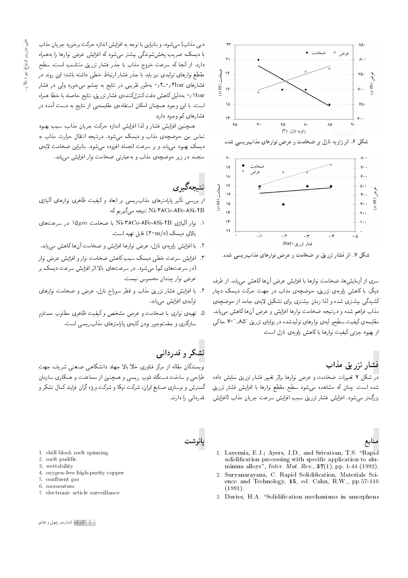

شکل ۷. اثر فشار تزریق بر ضخامت و عرض نوارهای مذاب ریسی شده.

سری از آزمایش ها، ضخامت نوارها با افزایش عرض آن ها کاهش مبی یابد. از طرف دیگر، با کاهش زاویهی تزریق، حوضچهی مذاب در جهت حرکت دیسک دچار کشیدگی بیشتری شده و لذا زمان بیشتری برای تشکیل لایهی جامد از حوضچهی مذاب فراهم شده و درنتيجه ضخامت نوارها افزايش و عرض آنها كاهش مى يابد. مقایسه،ی کیفیت سطحو لبه،ی نوارهای تولیدشده در زوایای تزریق "۸۵\_°۷۰ حاکی<br>ا از بهبود جزئى كيفيت نوارها با كاهش زاويهى نازل است.

# فشار تزريق مذاب

<mark>در</mark> شکل ۷ تغییرات ضخامت و عرض نوارها براثر تغییر فشار تزریق نمایش داده شده است. چنان که مشاهده می شود سطح مقطع نوارها با افزایش فشار تزریق بزرگ تر میشود. افزایش فشار تزریق سبب افزایش سرعت جریان مذاب (افزایش

# منابع

- 1. Lavernia, E.J.; Ayers, J.D., and Srivatsan, T.S. "Rapid solidification processing with specific application to aluminum alloys", *Inter. Mat. Rev.*, **37**(1), pp. 1-44 (1992).
- 2. Suryanarayana, C. Rapid Solidication, Materials Science and Technology, 15, ed. Cahn, R.W., pp.57-110 (1991).
- 3. Davies, H.A. "Solidification mechanisms in amorphous

دبی مذاب) می شود، و بنابراین با توجه به افزایش اندازه حرکت برخورد جریان مذاب با دیسک، ضریب پخششوندگی بیشتر میشود که افزایش عرض نوارها را بههمراه دارد. از آنجا که سرعت خروج مذاب با جذر فشار تزریق متناسب است، سطح مقطع نوارهای تولیدی نیز باید با جذر فشار ارتباط خطی داشته باشد؛ این روند در فشارهای ۴barم°-۰٫۲ بهطور تقریبی در نتایج به چشم می خورد ولی در فشار bها / و بهدلیل کاهش دقت کنترلکنندهی فشار تزریق، نتایج حاصله با خطا همراه است. با این وجود همچنان امکان استفادهی مقایسهیی از نتایج به دست آمده در فشارهای کم وجود دارد.

همچنین افزایش فشار و لذا افزایش اندازه حرکت جریان مذاب، سبب بهبود تماس بین حوضچهی مذاب و دیسک مه,شود. درنتیجه انتقال حرارت مذاب به ديسك بهبود مبىيابد و بر سرعت انجماد افزوده مبىشود. بنابراين ضخامت لايهى منجمد در زیر حوضچهی مذاب و بهعبارتی ضخامت نوار افزایش می یابد.

# نتىچەگىرى

از بررسی تأثیر پارلمترهای مذاب ریسی بر ابعاد و کیفیت ظاهری نوارهای آلیاژی<br>UQ XI |UQ |UQ نتيجه ميگيريم كه: Ni-۳۸Co-۸ $\rm Fe$ -۸Si-۲ $\rm B$ 

- ال نوار آلباژی Ni-۳۸Co-۸Fe-ASi-۲B را ضخامت ۱۵ $\mu m$  در سرعتهای  $\mu m$ بالای دیسک (۴۰m/s) قابل تهیه است.
- ۲. با افزایش زاویهی نازل، عرض نوارها افزایش و ضخامت آنها کاهش می یابد.
- ۳. افزایش سرعت خطی دیسک سبب کاهش ضخامت نوار و افزایش عرض نوار (در سرعت های کم) میشود. در سرعت های بالا اثر افزایش سرعت دیسک بر عرض نوار چندان محسوس نیست.
- ۴. با افزایش فشار تزریق مذاب و قطر سوراخ نازل، عرض و ضخامت نوارهای تولیدی افزایش می یابد.
- ۵. تهیهی نواری با ضخامت و عرض مشخص و کیفیت ظاهری مطلوب مستلزم سازگاری و جفتوجور بودن کلیهی پارامترهای مذاب ریسی است.

# تشکر و قدردانبی

نویسندگان مقاله از مرکز فناوری خلا بالا جهاد دانشگاه<sub>ی</sub> صنعتی شریف جهت طراحی و ساخت دستگاه ذوب ریسی و همچنین از مساعدت و همکاری سازمان گسترش و نوسازی صنایع ایران، شرکت تیکا و شرکت ویژه گران فرایند کمال تشکر و قدردانی را دارند.

## بانوشت

- 1. chill block melt spinning
- 2. melt puddle
- 3. wettability
- 4. oxygen-free high-purity copper
- 5. con
uent gas
- 6. momentum
- 7. electronic article surveillance